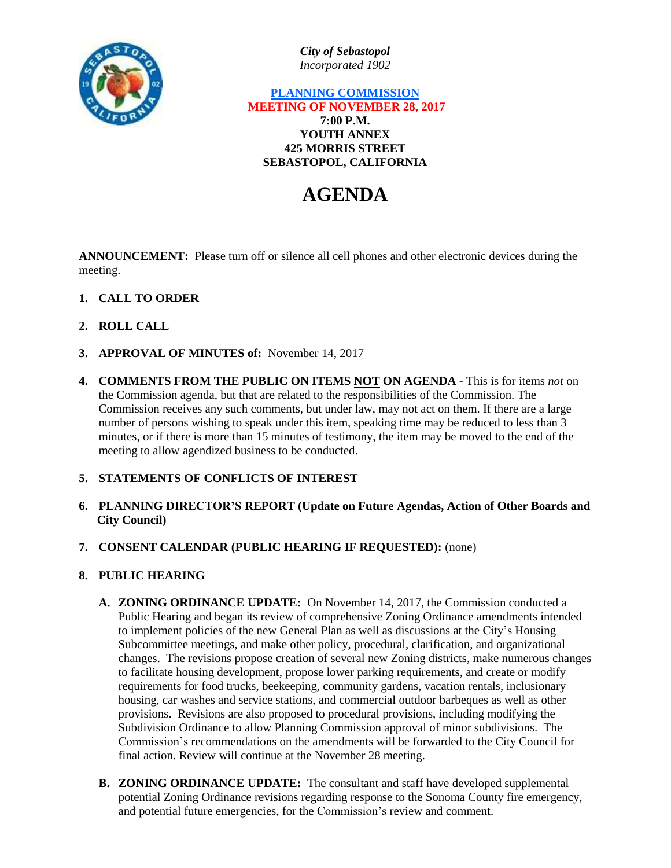

*City of Sebastopol Incorporated 1902*

## **PLANNING COMMISSION MEETING OF NOVEMBER 28, 2017 7:00 P.M. YOUTH ANNEX 425 MORRIS STREET SEBASTOPOL, CALIFORNIA**

# **AGENDA**

**ANNOUNCEMENT:** Please turn off or silence all cell phones and other electronic devices during the meeting.

- **1. CALL TO ORDER**
- **2. ROLL CALL**
- **3. APPROVAL OF MINUTES of:** November 14, 2017
- **4. COMMENTS FROM THE PUBLIC ON ITEMS NOT ON AGENDA -** This is for items *not* on the Commission agenda, but that are related to the responsibilities of the Commission. The Commission receives any such comments, but under law, may not act on them. If there are a large number of persons wishing to speak under this item, speaking time may be reduced to less than 3 minutes, or if there is more than 15 minutes of testimony, the item may be moved to the end of the meeting to allow agendized business to be conducted.

## **5. STATEMENTS OF CONFLICTS OF INTEREST**

- **6. PLANNING DIRECTOR'S REPORT (Update on Future Agendas, Action of Other Boards and City Council)**
- **7. CONSENT CALENDAR (PUBLIC HEARING IF REQUESTED):** (none)
- **8. PUBLIC HEARING**
	- **A. ZONING ORDINANCE UPDATE:** On November 14, 2017, the Commission conducted a Public Hearing and began its review of comprehensive Zoning Ordinance amendments intended to implement policies of the new General Plan as well as discussions at the City's Housing Subcommittee meetings, and make other policy, procedural, clarification, and organizational changes. The revisions propose creation of several new Zoning districts, make numerous changes to facilitate housing development, propose lower parking requirements, and create or modify requirements for food trucks, beekeeping, community gardens, vacation rentals, inclusionary housing, car washes and service stations, and commercial outdoor barbeques as well as other provisions. Revisions are also proposed to procedural provisions, including modifying the Subdivision Ordinance to allow Planning Commission approval of minor subdivisions. The Commission's recommendations on the amendments will be forwarded to the City Council for final action. Review will continue at the November 28 meeting.
	- **B. ZONING ORDINANCE UPDATE:** The consultant and staff have developed supplemental potential Zoning Ordinance revisions regarding response to the Sonoma County fire emergency, and potential future emergencies, for the Commission's review and comment.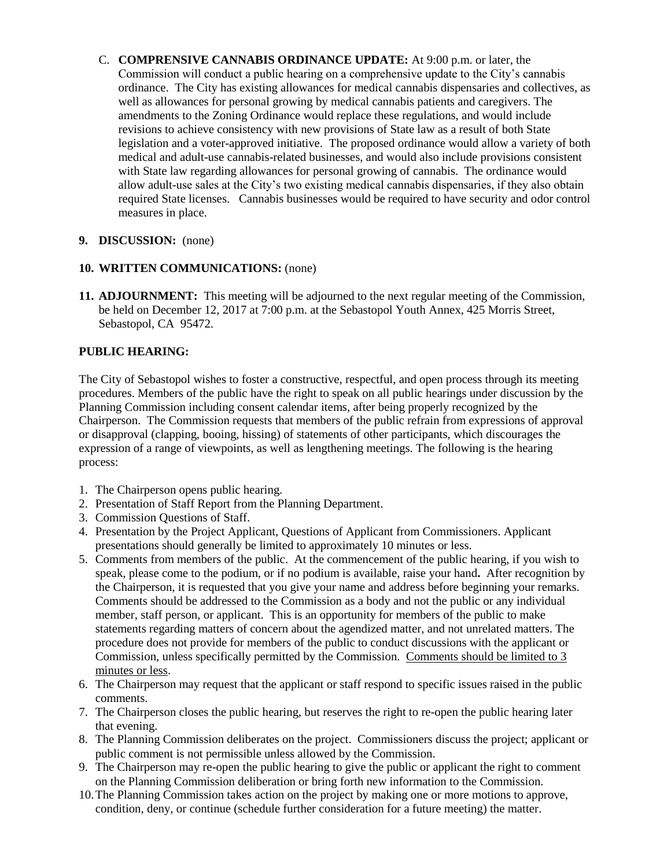C. **COMPRENSIVE CANNABIS ORDINANCE UPDATE:** At 9:00 p.m. or later, the Commission will conduct a public hearing on a comprehensive update to the City's cannabis ordinance. The City has existing allowances for medical cannabis dispensaries and collectives, as well as allowances for personal growing by medical cannabis patients and caregivers. The amendments to the Zoning Ordinance would replace these regulations, and would include revisions to achieve consistency with new provisions of State law as a result of both State legislation and a voter-approved initiative. The proposed ordinance would allow a variety of both medical and adult-use cannabis-related businesses, and would also include provisions consistent with State law regarding allowances for personal growing of cannabis. The ordinance would allow adult-use sales at the City's two existing medical cannabis dispensaries, if they also obtain required State licenses. Cannabis businesses would be required to have security and odor control measures in place.

## **9. DISCUSSION:** (none)

## **10. WRITTEN COMMUNICATIONS:** (none)

**11. ADJOURNMENT:** This meeting will be adjourned to the next regular meeting of the Commission, be held on December 12, 2017 at 7:00 p.m. at the Sebastopol Youth Annex, 425 Morris Street, Sebastopol, CA 95472.

# **PUBLIC HEARING:**

The City of Sebastopol wishes to foster a constructive, respectful, and open process through its meeting procedures. Members of the public have the right to speak on all public hearings under discussion by the Planning Commission including consent calendar items, after being properly recognized by the Chairperson. The Commission requests that members of the public refrain from expressions of approval or disapproval (clapping, booing, hissing) of statements of other participants, which discourages the expression of a range of viewpoints, as well as lengthening meetings. The following is the hearing process:

- 1. The Chairperson opens public hearing.
- 2. Presentation of Staff Report from the Planning Department.
- 3. Commission Questions of Staff.
- 4. Presentation by the Project Applicant, Questions of Applicant from Commissioners. Applicant presentations should generally be limited to approximately 10 minutes or less.
- 5. Comments from members of the public. At the commencement of the public hearing, if you wish to speak, please come to the podium, or if no podium is available, raise your hand**.** After recognition by the Chairperson, it is requested that you give your name and address before beginning your remarks. Comments should be addressed to the Commission as a body and not the public or any individual member, staff person, or applicant. This is an opportunity for members of the public to make statements regarding matters of concern about the agendized matter, and not unrelated matters. The procedure does not provide for members of the public to conduct discussions with the applicant or Commission, unless specifically permitted by the Commission. Comments should be limited to 3 minutes or less.
- 6. The Chairperson may request that the applicant or staff respond to specific issues raised in the public comments.
- 7. The Chairperson closes the public hearing, but reserves the right to re-open the public hearing later that evening.
- 8. The Planning Commission deliberates on the project. Commissioners discuss the project; applicant or public comment is not permissible unless allowed by the Commission.
- 9. The Chairperson may re-open the public hearing to give the public or applicant the right to comment on the Planning Commission deliberation or bring forth new information to the Commission.
- 10.The Planning Commission takes action on the project by making one or more motions to approve, condition, deny, or continue (schedule further consideration for a future meeting) the matter.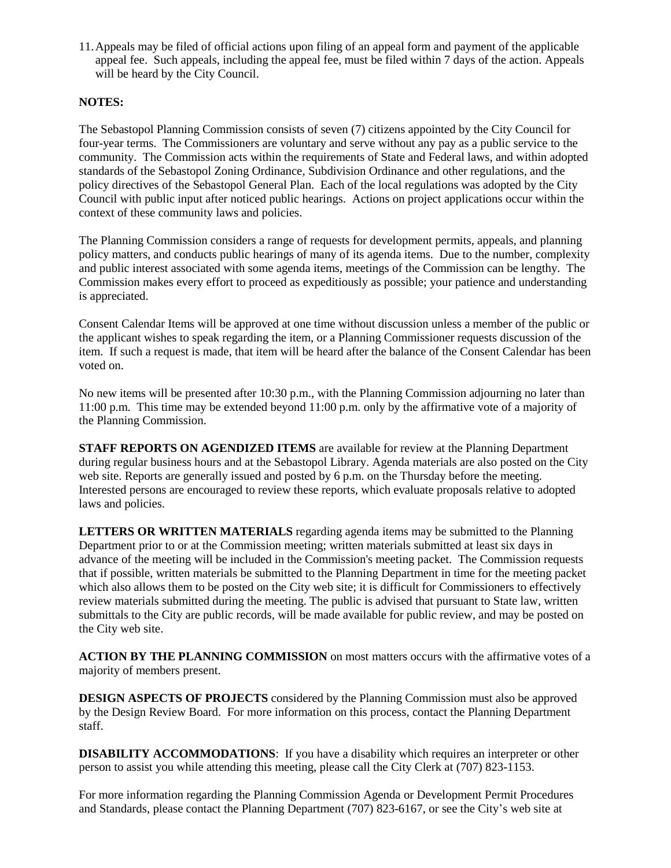11.Appeals may be filed of official actions upon filing of an appeal form and payment of the applicable appeal fee. Such appeals, including the appeal fee, must be filed within 7 days of the action. Appeals will be heard by the City Council.

#### **NOTES:**

The Sebastopol Planning Commission consists of seven (7) citizens appointed by the City Council for four-year terms. The Commissioners are voluntary and serve without any pay as a public service to the community. The Commission acts within the requirements of State and Federal laws, and within adopted standards of the Sebastopol Zoning Ordinance, Subdivision Ordinance and other regulations, and the policy directives of the Sebastopol General Plan. Each of the local regulations was adopted by the City Council with public input after noticed public hearings. Actions on project applications occur within the context of these community laws and policies.

The Planning Commission considers a range of requests for development permits, appeals, and planning policy matters, and conducts public hearings of many of its agenda items. Due to the number, complexity and public interest associated with some agenda items, meetings of the Commission can be lengthy. The Commission makes every effort to proceed as expeditiously as possible; your patience and understanding is appreciated.

Consent Calendar Items will be approved at one time without discussion unless a member of the public or the applicant wishes to speak regarding the item, or a Planning Commissioner requests discussion of the item. If such a request is made, that item will be heard after the balance of the Consent Calendar has been voted on.

No new items will be presented after 10:30 p.m., with the Planning Commission adjourning no later than 11:00 p.m. This time may be extended beyond 11:00 p.m. only by the affirmative vote of a majority of the Planning Commission.

**STAFF REPORTS ON AGENDIZED ITEMS** are available for review at the Planning Department during regular business hours and at the Sebastopol Library. Agenda materials are also posted on the City web site. Reports are generally issued and posted by 6 p.m. on the Thursday before the meeting. Interested persons are encouraged to review these reports, which evaluate proposals relative to adopted laws and policies.

**LETTERS OR WRITTEN MATERIALS** regarding agenda items may be submitted to the Planning Department prior to or at the Commission meeting; written materials submitted at least six days in advance of the meeting will be included in the Commission's meeting packet. The Commission requests that if possible, written materials be submitted to the Planning Department in time for the meeting packet which also allows them to be posted on the City web site; it is difficult for Commissioners to effectively review materials submitted during the meeting. The public is advised that pursuant to State law, written submittals to the City are public records, will be made available for public review, and may be posted on the City web site.

**ACTION BY THE PLANNING COMMISSION** on most matters occurs with the affirmative votes of a majority of members present.

**DESIGN ASPECTS OF PROJECTS** considered by the Planning Commission must also be approved by the Design Review Board. For more information on this process, contact the Planning Department staff.

**DISABILITY ACCOMMODATIONS**: If you have a disability which requires an interpreter or other person to assist you while attending this meeting, please call the City Clerk at (707) 823-1153.

For more information regarding the Planning Commission Agenda or Development Permit Procedures and Standards, please contact the Planning Department (707) 823-6167, or see the City's web site at